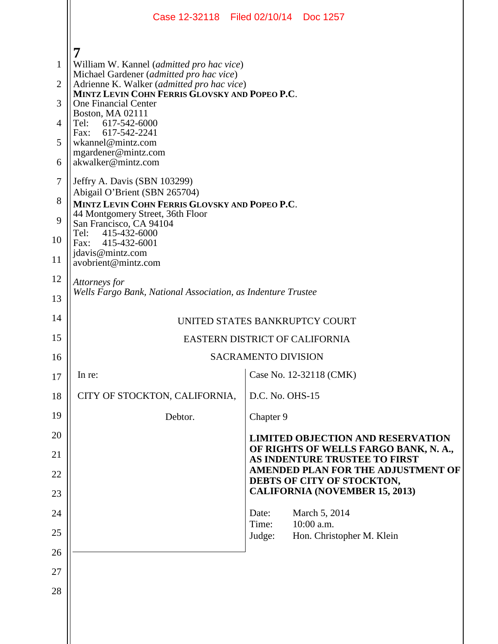|                                                                               |                                                                                                                                                                                                                                                                                                                                                                                                                                                                                                                                                                                                                                                  | Case 12-32118 Filed 02/10/14 Doc 1257                                  |
|-------------------------------------------------------------------------------|--------------------------------------------------------------------------------------------------------------------------------------------------------------------------------------------------------------------------------------------------------------------------------------------------------------------------------------------------------------------------------------------------------------------------------------------------------------------------------------------------------------------------------------------------------------------------------------------------------------------------------------------------|------------------------------------------------------------------------|
| $\mathbf{1}$<br>$\overline{2}$<br>3<br>4<br>5<br>6<br>7<br>8<br>9<br>10<br>11 | 7<br>William W. Kannel (admitted pro hac vice)<br>Michael Gardener (admitted pro hac vice)<br>Adrienne K. Walker (admitted pro hac vice)<br>MINTZ LEVIN COHN FERRIS GLOVSKY AND POPEO P.C.<br><b>One Financial Center</b><br><b>Boston, MA 02111</b><br>Tel:<br>617-542-6000<br>617-542-2241<br>Fax:<br>wkannel@mintz.com<br>mgardener@mintz.com<br>akwalker@mintz.com<br>Jeffry A. Davis (SBN 103299)<br>Abigail O'Brient (SBN 265704)<br>MINTZ LEVIN COHN FERRIS GLOVSKY AND POPEO P.C.<br>44 Montgomery Street, 36th Floor<br>San Francisco, CA 94104<br>Tel: 415-432-6000<br>415-432-6001<br>Fax:<br>jdavis@mintz.com<br>avobrient@mintz.com |                                                                        |
| 12<br>13                                                                      | Attorneys for<br>Wells Fargo Bank, National Association, as Indenture Trustee                                                                                                                                                                                                                                                                                                                                                                                                                                                                                                                                                                    |                                                                        |
| 14                                                                            |                                                                                                                                                                                                                                                                                                                                                                                                                                                                                                                                                                                                                                                  |                                                                        |
| 15                                                                            | UNITED STATES BANKRUPTCY COURT<br><b>EASTERN DISTRICT OF CALIFORNIA</b>                                                                                                                                                                                                                                                                                                                                                                                                                                                                                                                                                                          |                                                                        |
| 16                                                                            |                                                                                                                                                                                                                                                                                                                                                                                                                                                                                                                                                                                                                                                  | <b>SACRAMENTO DIVISION</b>                                             |
| 17                                                                            | In re:                                                                                                                                                                                                                                                                                                                                                                                                                                                                                                                                                                                                                                           | Case No. 12-32118 (CMK)                                                |
| 18                                                                            | CITY OF STOCKTON, CALIFORNIA,                                                                                                                                                                                                                                                                                                                                                                                                                                                                                                                                                                                                                    | D.C. No. OHS-15                                                        |
| 19                                                                            | Debtor.                                                                                                                                                                                                                                                                                                                                                                                                                                                                                                                                                                                                                                          | Chapter 9                                                              |
| 20                                                                            |                                                                                                                                                                                                                                                                                                                                                                                                                                                                                                                                                                                                                                                  | <b>LIMITED OBJECTION AND RESERVATION</b>                               |
| 21                                                                            |                                                                                                                                                                                                                                                                                                                                                                                                                                                                                                                                                                                                                                                  | OF RIGHTS OF WELLS FARGO BANK, N. A.,<br>AS INDENTURE TRUSTEE TO FIRST |
| 22                                                                            |                                                                                                                                                                                                                                                                                                                                                                                                                                                                                                                                                                                                                                                  | AMENDED PLAN FOR THE ADJUSTMENT OF<br>DEBTS OF CITY OF STOCKTON,       |
| 23                                                                            |                                                                                                                                                                                                                                                                                                                                                                                                                                                                                                                                                                                                                                                  | <b>CALIFORNIA (NOVEMBER 15, 2013)</b>                                  |
| 24                                                                            |                                                                                                                                                                                                                                                                                                                                                                                                                                                                                                                                                                                                                                                  | March 5, 2014<br>Date:<br>10:00 a.m.<br>Time:                          |
| 25                                                                            |                                                                                                                                                                                                                                                                                                                                                                                                                                                                                                                                                                                                                                                  | Hon. Christopher M. Klein<br>Judge:                                    |
| 26                                                                            |                                                                                                                                                                                                                                                                                                                                                                                                                                                                                                                                                                                                                                                  |                                                                        |
| 27                                                                            |                                                                                                                                                                                                                                                                                                                                                                                                                                                                                                                                                                                                                                                  |                                                                        |
| 28                                                                            |                                                                                                                                                                                                                                                                                                                                                                                                                                                                                                                                                                                                                                                  |                                                                        |
|                                                                               |                                                                                                                                                                                                                                                                                                                                                                                                                                                                                                                                                                                                                                                  |                                                                        |
|                                                                               |                                                                                                                                                                                                                                                                                                                                                                                                                                                                                                                                                                                                                                                  |                                                                        |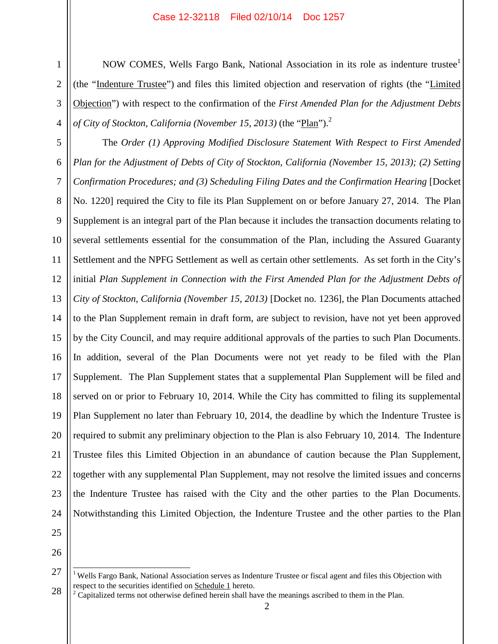## Case 12-32118 Filed 02/10/14 Doc 1257

3

4

1

NOW COMES, Wells Fargo Bank, National Association in its role as indenture trustee<sup>1</sup> (the "Indenture Trustee") and files this limited objection and reservation of rights (the "Limited Objection") with respect to the confirmation of the *First Amended Plan for the Adjustment Debts of City of Stockton, California (November 15, 2013)* (the "Plan").<sup>2</sup>

5 6 7 8 9 10 11 12 13 14 15 16 17 18 19 20 21 22 23 24 The *Order (1) Approving Modified Disclosure Statement With Respect to First Amended Plan for the Adjustment of Debts of City of Stockton, California (November 15, 2013); (2) Setting Confirmation Procedures; and (3) Scheduling Filing Dates and the Confirmation Hearing* [Docket No. 1220] required the City to file its Plan Supplement on or before January 27, 2014. The Plan Supplement is an integral part of the Plan because it includes the transaction documents relating to several settlements essential for the consummation of the Plan, including the Assured Guaranty Settlement and the NPFG Settlement as well as certain other settlements. As set forth in the City's initial *Plan Supplement in Connection with the First Amended Plan for the Adjustment Debts of City of Stockton, California (November 15, 2013)* [Docket no. 1236], the Plan Documents attached to the Plan Supplement remain in draft form, are subject to revision, have not yet been approved by the City Council, and may require additional approvals of the parties to such Plan Documents. In addition, several of the Plan Documents were not yet ready to be filed with the Plan Supplement. The Plan Supplement states that a supplemental Plan Supplement will be filed and served on or prior to February 10, 2014. While the City has committed to filing its supplemental Plan Supplement no later than February 10, 2014, the deadline by which the Indenture Trustee is required to submit any preliminary objection to the Plan is also February 10, 2014. The Indenture Trustee files this Limited Objection in an abundance of caution because the Plan Supplement, together with any supplemental Plan Supplement, may not resolve the limited issues and concerns the Indenture Trustee has raised with the City and the other parties to the Plan Documents. Notwithstanding this Limited Objection, the Indenture Trustee and the other parties to the Plan

25 26

<sup>27</sup> 28 <sup>1</sup> Wells Fargo Bank, National Association serves as Indenture Trustee or fiscal agent and files this Objection with respect to the securities identified on Schedule 1 hereto.

<sup>&</sup>lt;sup>2</sup> Capitalized terms not otherwise defined herein shall have the meanings ascribed to them in the Plan.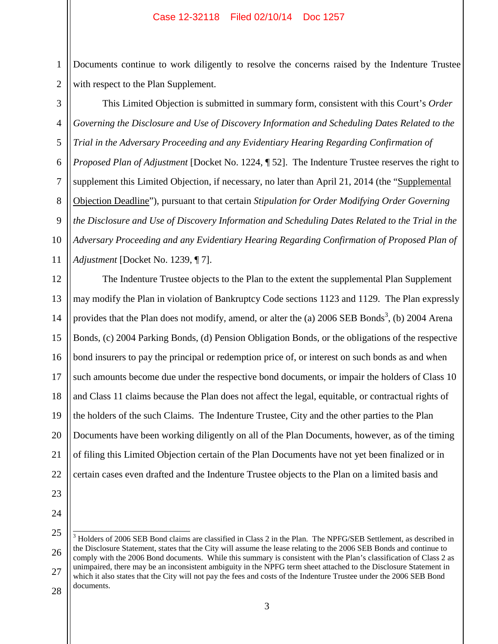Documents continue to work diligently to resolve the concerns raised by the Indenture Trustee with respect to the Plan Supplement.

3 4 5 6 7 8 9 10 11 This Limited Objection is submitted in summary form, consistent with this Court's *Order Governing the Disclosure and Use of Discovery Information and Scheduling Dates Related to the Trial in the Adversary Proceeding and any Evidentiary Hearing Regarding Confirmation of Proposed Plan of Adjustment* [Docket No. 1224, ¶ 52]. The Indenture Trustee reserves the right to supplement this Limited Objection, if necessary, no later than April 21, 2014 (the "Supplemental Objection Deadline"), pursuant to that certain *Stipulation for Order Modifying Order Governing the Disclosure and Use of Discovery Information and Scheduling Dates Related to the Trial in the Adversary Proceeding and any Evidentiary Hearing Regarding Confirmation of Proposed Plan of Adjustment* [Docket No. 1239, ¶ 7].

12 13 14 15 16 17 18 19 20 21 22 The Indenture Trustee objects to the Plan to the extent the supplemental Plan Supplement may modify the Plan in violation of Bankruptcy Code sections 1123 and 1129. The Plan expressly provides that the Plan does not modify, amend, or alter the (a)  $2006$  SEB Bonds<sup>3</sup>, (b)  $2004$  Arena Bonds, (c) 2004 Parking Bonds, (d) Pension Obligation Bonds, or the obligations of the respective bond insurers to pay the principal or redemption price of, or interest on such bonds as and when such amounts become due under the respective bond documents, or impair the holders of Class 10 and Class 11 claims because the Plan does not affect the legal, equitable, or contractual rights of the holders of the such Claims. The Indenture Trustee, City and the other parties to the Plan Documents have been working diligently on all of the Plan Documents, however, as of the timing of filing this Limited Objection certain of the Plan Documents have not yet been finalized or in certain cases even drafted and the Indenture Trustee objects to the Plan on a limited basis and

23

1

2

24

3

<sup>25</sup> 26 27 28 <sup>3</sup> Holders of 2006 SEB Bond claims are classified in Class 2 in the Plan. The NPFG/SEB Settlement, as described in the Disclosure Statement, states that the City will assume the lease relating to the 2006 SEB Bonds and continue to comply with the 2006 Bond documents. While this summary is consistent with the Plan's classification of Class 2 as unimpaired, there may be an inconsistent ambiguity in the NPFG term sheet attached to the Disclosure Statement in which it also states that the City will not pay the fees and costs of the Indenture Trustee under the 2006 SEB Bond documents.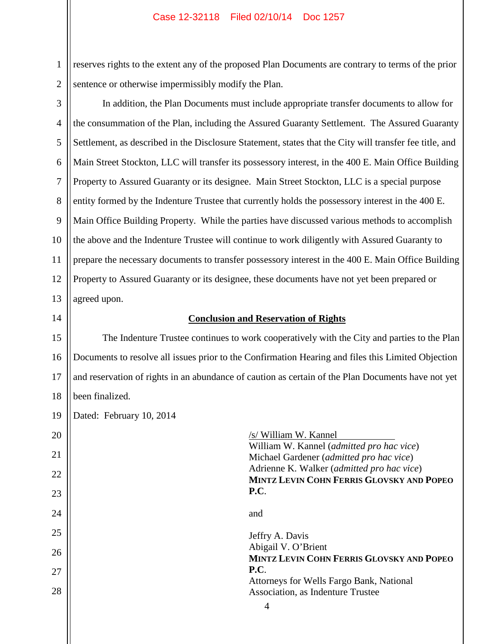## Case 12-32118 Filed 02/10/14 Doc 1257

reserves rights to the extent any of the proposed Plan Documents are contrary to terms of the prior sentence or otherwise impermissibly modify the Plan.

2 3

1

4 5 6 7 8 9 10 11 12 13 In addition, the Plan Documents must include appropriate transfer documents to allow for the consummation of the Plan, including the Assured Guaranty Settlement. The Assured Guaranty Settlement, as described in the Disclosure Statement, states that the City will transfer fee title, and Main Street Stockton, LLC will transfer its possessory interest, in the 400 E. Main Office Building Property to Assured Guaranty or its designee. Main Street Stockton, LLC is a special purpose entity formed by the Indenture Trustee that currently holds the possessory interest in the 400 E. Main Office Building Property. While the parties have discussed various methods to accomplish the above and the Indenture Trustee will continue to work diligently with Assured Guaranty to prepare the necessary documents to transfer possessory interest in the 400 E. Main Office Building Property to Assured Guaranty or its designee, these documents have not yet been prepared or agreed upon.

14

20

21

22

23

24

25

26

27

28

## **Conclusion and Reservation of Rights**

15 16 17 18 The Indenture Trustee continues to work cooperatively with the City and parties to the Plan Documents to resolve all issues prior to the Confirmation Hearing and files this Limited Objection and reservation of rights in an abundance of caution as certain of the Plan Documents have not yet been finalized.

19 Dated: February 10, 2014

| /s/ William W. Kannel<br>William W. Kannel (admitted pro hac vice)<br>Michael Gardener (admitted pro hac vice)<br>Adrienne K. Walker (admitted pro hac vice) |
|--------------------------------------------------------------------------------------------------------------------------------------------------------------|
| <b>MINTZ LEVIN COHN FERRIS GLOVSKY AND POPEO</b><br><b>P.C.</b>                                                                                              |
| and                                                                                                                                                          |
| Jeffry A. Davis<br>Abigail V. O'Brient                                                                                                                       |
| <b>MINTZ LEVIN COHN FERRIS GLOVSKY AND POPEO</b><br><b>P.C.</b>                                                                                              |
| Attorneys for Wells Fargo Bank, National<br>Association, as Indenture Trustee                                                                                |
| 4                                                                                                                                                            |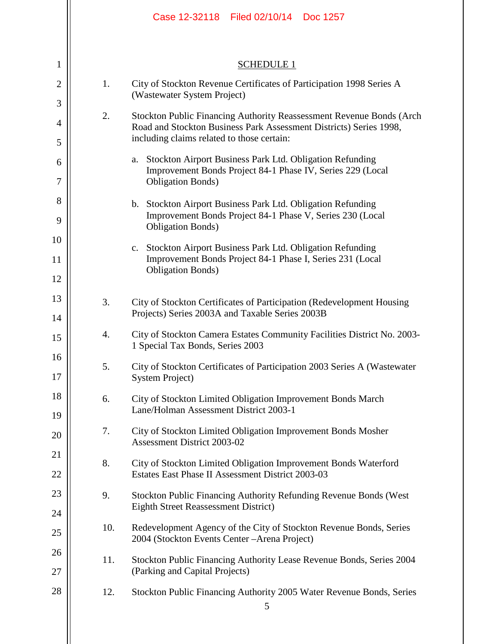|                |     | Case 12-32118 Filed 02/10/14 Doc 1257                                                                                                                                                    |
|----------------|-----|------------------------------------------------------------------------------------------------------------------------------------------------------------------------------------------|
| 1              |     | <b>SCHEDULE 1</b>                                                                                                                                                                        |
| $\overline{2}$ | 1.  | City of Stockton Revenue Certificates of Participation 1998 Series A<br>(Wastewater System Project)                                                                                      |
| 3<br>4<br>5    | 2.  | Stockton Public Financing Authority Reassessment Revenue Bonds (Arch<br>Road and Stockton Business Park Assessment Districts) Series 1998,<br>including claims related to those certain: |
| 6<br>7         |     | Stockton Airport Business Park Ltd. Obligation Refunding<br>a.<br>Improvement Bonds Project 84-1 Phase IV, Series 229 (Local<br><b>Obligation Bonds)</b>                                 |
| 8<br>9         |     | b. Stockton Airport Business Park Ltd. Obligation Refunding<br>Improvement Bonds Project 84-1 Phase V, Series 230 (Local<br><b>Obligation Bonds)</b>                                     |
| 10<br>11<br>12 |     | Stockton Airport Business Park Ltd. Obligation Refunding<br>c.<br>Improvement Bonds Project 84-1 Phase I, Series 231 (Local<br><b>Obligation Bonds)</b>                                  |
| 13<br>14       | 3.  | City of Stockton Certificates of Participation (Redevelopment Housing<br>Projects) Series 2003A and Taxable Series 2003B                                                                 |
| 15             | 4.  | City of Stockton Camera Estates Community Facilities District No. 2003-<br>1 Special Tax Bonds, Series 2003                                                                              |
| 16<br>17       | 5.  | City of Stockton Certificates of Participation 2003 Series A (Wastewater<br>System Project)                                                                                              |
| 18<br>19       | 6.  | City of Stockton Limited Obligation Improvement Bonds March<br>Lane/Holman Assessment District 2003-1                                                                                    |
| 20             | 7.  | City of Stockton Limited Obligation Improvement Bonds Mosher<br><b>Assessment District 2003-02</b>                                                                                       |
| 21<br>22       | 8.  | City of Stockton Limited Obligation Improvement Bonds Waterford<br>Estates East Phase II Assessment District 2003-03                                                                     |
| 23<br>24       | 9.  | Stockton Public Financing Authority Refunding Revenue Bonds (West<br><b>Eighth Street Reassessment District)</b>                                                                         |
| 25             | 10. | Redevelopment Agency of the City of Stockton Revenue Bonds, Series<br>2004 (Stockton Events Center - Arena Project)                                                                      |
| 26<br>27       | 11. | Stockton Public Financing Authority Lease Revenue Bonds, Series 2004<br>(Parking and Capital Projects)                                                                                   |
| 28             | 12. | Stockton Public Financing Authority 2005 Water Revenue Bonds, Series<br>5                                                                                                                |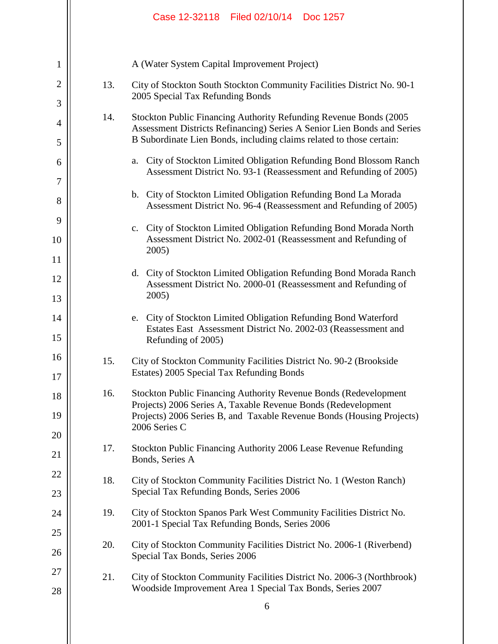|                     |     | Case 12-32118 Filed 02/10/14<br>Doc 1257                                                                                                                                                                             |
|---------------------|-----|----------------------------------------------------------------------------------------------------------------------------------------------------------------------------------------------------------------------|
|                     |     |                                                                                                                                                                                                                      |
| 1                   |     | A (Water System Capital Improvement Project)                                                                                                                                                                         |
| $\overline{2}$<br>3 | 13. | City of Stockton South Stockton Community Facilities District No. 90-1<br>2005 Special Tax Refunding Bonds                                                                                                           |
| $\overline{4}$      | 14. | Stockton Public Financing Authority Refunding Revenue Bonds (2005<br>Assessment Districts Refinancing) Series A Senior Lien Bonds and Series<br>B Subordinate Lien Bonds, including claims related to those certain: |
| 5<br>6              |     | City of Stockton Limited Obligation Refunding Bond Blossom Ranch<br>a.<br>Assessment District No. 93-1 (Reassessment and Refunding of 2005)                                                                          |
| 7                   |     |                                                                                                                                                                                                                      |
| 8                   |     | b. City of Stockton Limited Obligation Refunding Bond La Morada<br>Assessment District No. 96-4 (Reassessment and Refunding of 2005)                                                                                 |
| 9                   |     | City of Stockton Limited Obligation Refunding Bond Morada North<br>c.<br>Assessment District No. 2002-01 (Reassessment and Refunding of                                                                              |
| 10<br>11            |     | 2005)                                                                                                                                                                                                                |
| 12                  |     | d. City of Stockton Limited Obligation Refunding Bond Morada Ranch<br>Assessment District No. 2000-01 (Reassessment and Refunding of                                                                                 |
| 13                  |     | 2005)                                                                                                                                                                                                                |
| 14<br>15            |     | City of Stockton Limited Obligation Refunding Bond Waterford<br>e.<br>Estates East Assessment District No. 2002-03 (Reassessment and<br>Refunding of 2005)                                                           |
| 16<br>17            | 15. | City of Stockton Community Facilities District No. 90-2 (Brookside<br>Estates) 2005 Special Tax Refunding Bonds                                                                                                      |
| 18                  | 16. | Stockton Public Financing Authority Revenue Bonds (Redevelopment                                                                                                                                                     |
| 19                  |     | Projects) 2006 Series A, Taxable Revenue Bonds (Redevelopment<br>Projects) 2006 Series B, and Taxable Revenue Bonds (Housing Projects)                                                                               |
| 20                  |     | 2006 Series C                                                                                                                                                                                                        |
| 21                  | 17. | Stockton Public Financing Authority 2006 Lease Revenue Refunding<br>Bonds, Series A                                                                                                                                  |
| 22                  | 18. | City of Stockton Community Facilities District No. 1 (Weston Ranch)<br>Special Tax Refunding Bonds, Series 2006                                                                                                      |
| 23                  |     |                                                                                                                                                                                                                      |
| 24<br>25            | 19. | City of Stockton Spanos Park West Community Facilities District No.<br>2001-1 Special Tax Refunding Bonds, Series 2006                                                                                               |
| 26                  | 20. | City of Stockton Community Facilities District No. 2006-1 (Riverbend)<br>Special Tax Bonds, Series 2006                                                                                                              |
| 27                  | 21. | City of Stockton Community Facilities District No. 2006-3 (Northbrook)<br>Woodside Improvement Area 1 Special Tax Bonds, Series 2007                                                                                 |
| 28                  |     | 6                                                                                                                                                                                                                    |